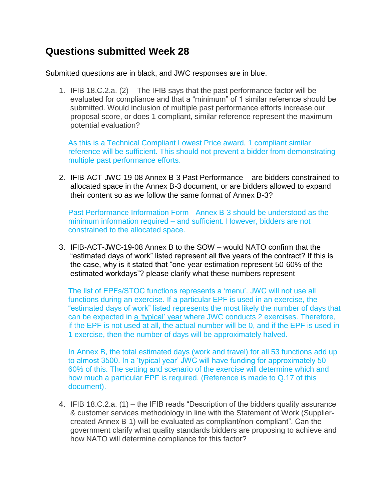## **Questions submitted Week 28**

## Submitted questions are in black, and JWC responses are in blue.

1. IFIB 18.C.2.a. (2) – The IFIB says that the past performance factor will be evaluated for compliance and that a "minimum" of 1 similar reference should be submitted. Would inclusion of multiple past performance efforts increase our proposal score, or does 1 compliant, similar reference represent the maximum potential evaluation?

As this is a Technical Compliant Lowest Price award, 1 compliant similar reference will be sufficient. This should not prevent a bidder from demonstrating multiple past performance efforts.

2. IFIB-ACT-JWC-19-08 Annex B-3 Past Performance – are bidders constrained to allocated space in the Annex B-3 document, or are bidders allowed to expand their content so as we follow the same format of Annex B-3?

Past Performance Information Form - Annex B-3 should be understood as the minimum information required – and sufficient. However, bidders are not constrained to the allocated space.

3. IFIB-ACT-JWC-19-08 Annex B to the SOW – would NATO confirm that the "estimated days of work" listed represent all five years of the contract? If this is the case, why is it stated that "one-year estimation represent 50-60% of the estimated workdays"? please clarify what these numbers represent

The list of EPFs/STOC functions represents a "menu". JWC will not use all functions during an exercise. If a particular EPF is used in an exercise, the "estimated days of work" listed represents the most likely the number of days that can be expected in a "typical" year where JWC conducts 2 exercises. Therefore, if the EPF is not used at all, the actual number will be 0, and if the EPF is used in 1 exercise, then the number of days will be approximately halved.

In Annex B, the total estimated days (work and travel) for all 53 functions add up to almost 3500. In a "typical year" JWC will have funding for approximately 50- 60% of this. The setting and scenario of the exercise will determine which and how much a particular EPF is required. (Reference is made to Q.17 of this document).

4. IFIB 18.C.2.a. (1) – the IFIB reads "Description of the bidders quality assurance & customer services methodology in line with the Statement of Work (Suppliercreated Annex B-1) will be evaluated as compliant/non-compliant". Can the government clarify what quality standards bidders are proposing to achieve and how NATO will determine compliance for this factor?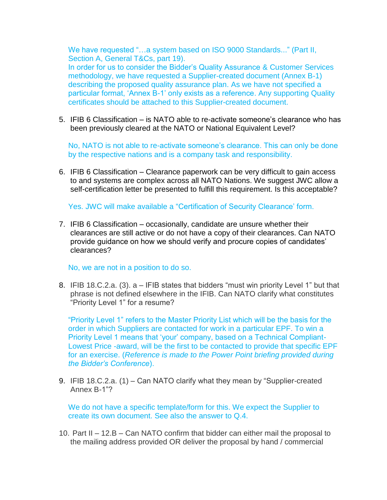We have requested "...a system based on ISO 9000 Standards..." (Part II, Section A, General T&Cs, part 19).

In order for us to consider the Bidder"s Quality Assurance & Customer Services methodology, we have requested a Supplier-created document (Annex B-1) describing the proposed quality assurance plan. As we have not specified a particular format, "Annex B-1" only exists as a reference. Any supporting Quality certificates should be attached to this Supplier-created document.

5. IFIB 6 Classification – is NATO able to re-activate someone"s clearance who has been previously cleared at the NATO or National Equivalent Level?

No, NATO is not able to re-activate someone's clearance. This can only be done by the respective nations and is a company task and responsibility.

6. IFIB 6 Classification – Clearance paperwork can be very difficult to gain access to and systems are complex across all NATO Nations. We suggest JWC allow a self-certification letter be presented to fulfill this requirement. Is this acceptable?

Yes. JWC will make available a "Certification of Security Clearance" form.

7. IFIB 6 Classification – occasionally, candidate are unsure whether their clearances are still active or do not have a copy of their clearances. Can NATO provide guidance on how we should verify and procure copies of candidates" clearances?

No, we are not in a position to do so.

8. IFIB 18.C.2.a. (3). a – IFIB states that bidders "must win priority Level 1" but that phrase is not defined elsewhere in the IFIB. Can NATO clarify what constitutes "Priority Level 1" for a resume?

"Priority Level 1" refers to the Master Priority List which will be the basis for the order in which Suppliers are contacted for work in a particular EPF. To win a Priority Level 1 means that "your" company, based on a Technical Compliant-Lowest Price -award, will be the first to be contacted to provide that specific EPF for an exercise. (*Reference is made to the Power Point briefing provided during the Bidder's Conference*).

9. IFIB 18.C.2.a. (1) – Can NATO clarify what they mean by "Supplier-created Annex B-1"?

We do not have a specific template/form for this. We expect the Supplier to create its own document. See also the answer to Q.4.

10. Part II – 12.B – Can NATO confirm that bidder can either mail the proposal to the mailing address provided OR deliver the proposal by hand / commercial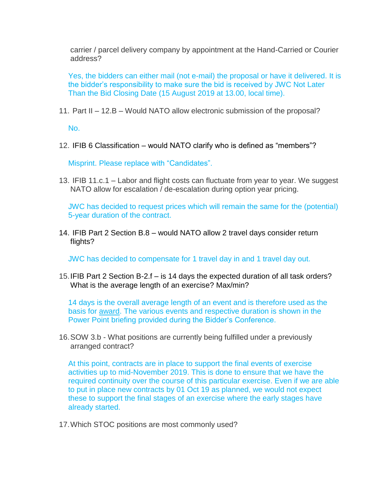carrier / parcel delivery company by appointment at the Hand-Carried or Courier address?

Yes, the bidders can either mail (not e-mail) the proposal or have it delivered. It is the bidder"s responsibility to make sure the bid is received by JWC Not Later Than the Bid Closing Date (15 August 2019 at 13.00, local time).

11. Part II – 12.B – Would NATO allow electronic submission of the proposal?

No.

12. IFIB 6 Classification – would NATO clarify who is defined as "members"?

Misprint. Please replace with "Candidates".

13. IFIB 11.c.1 – Labor and flight costs can fluctuate from year to year. We suggest NATO allow for escalation / de-escalation during option year pricing.

JWC has decided to request prices which will remain the same for the (potential) 5-year duration of the contract.

14. IFIB Part 2 Section B.8 – would NATO allow 2 travel days consider return flights?

JWC has decided to compensate for 1 travel day in and 1 travel day out.

15.IFIB Part 2 Section B-2.f – is 14 days the expected duration of all task orders? What is the average length of an exercise? Max/min?

14 days is the overall average length of an event and is therefore used as the basis for award. The various events and respective duration is shown in the Power Point briefing provided during the Bidder"s Conference.

16.SOW 3.b - What positions are currently being fulfilled under a previously arranged contract?

At this point, contracts are in place to support the final events of exercise activities up to mid-November 2019. This is done to ensure that we have the required continuity over the course of this particular exercise. Even if we are able to put in place new contracts by 01 Oct 19 as planned, we would not expect these to support the final stages of an exercise where the early stages have already started.

17.Which STOC positions are most commonly used?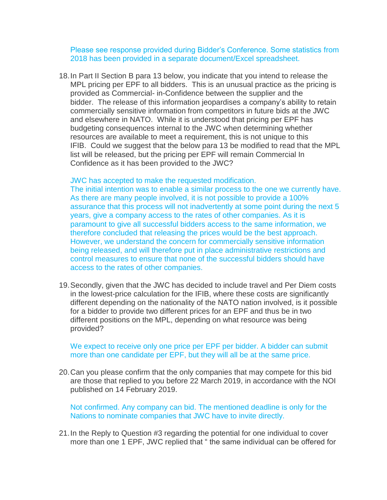Please see response provided during Bidder"s Conference. Some statistics from 2018 has been provided in a separate document/Excel spreadsheet.

18.In Part II Section B para 13 below, you indicate that you intend to release the MPL pricing per EPF to all bidders. This is an unusual practice as the pricing is provided as Commercial- in-Confidence between the supplier and the bidder. The release of this information jeopardises a company"s ability to retain commercially sensitive information from competitors in future bids at the JWC and elsewhere in NATO. While it is understood that pricing per EPF has budgeting consequences internal to the JWC when determining whether resources are available to meet a requirement, this is not unique to this IFIB. Could we suggest that the below para 13 be modified to read that the MPL list will be released, but the pricing per EPF will remain Commercial In Confidence as it has been provided to the JWC?

## JWC has accepted to make the requested modification.

The initial intention was to enable a similar process to the one we currently have. As there are many people involved, it is not possible to provide a 100% assurance that this process will not inadvertently at some point during the next 5 years, give a company access to the rates of other companies. As it is paramount to give all successful bidders access to the same information, we therefore concluded that releasing the prices would be the best approach. However, we understand the concern for commercially sensitive information being released, and will therefore put in place administrative restrictions and control measures to ensure that none of the successful bidders should have access to the rates of other companies.

19.Secondly, given that the JWC has decided to include travel and Per Diem costs in the lowest-price calculation for the IFIB, where these costs are significantly different depending on the nationality of the NATO nation involved, is it possible for a bidder to provide two different prices for an EPF and thus be in two different positions on the MPL, depending on what resource was being provided?

We expect to receive only one price per EPF per bidder. A bidder can submit more than one candidate per EPF, but they will all be at the same price.

20.Can you please confirm that the only companies that may compete for this bid are those that replied to you before 22 March 2019, in accordance with the NOI published on 14 February 2019.

Not confirmed. Any company can bid. The mentioned deadline is only for the Nations to nominate companies that JWC have to invite directly.

21.In the Reply to Question #3 regarding the potential for one individual to cover more than one 1 EPF, JWC replied that " the same individual can be offered for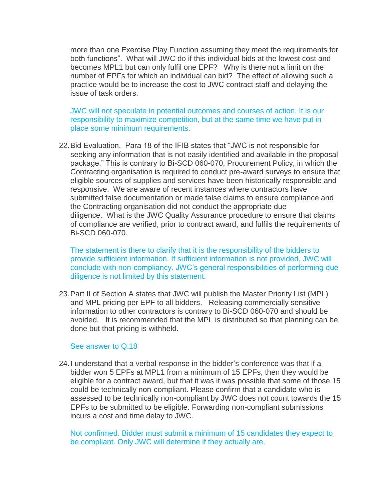more than one Exercise Play Function assuming they meet the requirements for both functions". What will JWC do if this individual bids at the lowest cost and becomes MPL1 but can only fulfil one EPF? Why is there not a limit on the number of EPFs for which an individual can bid? The effect of allowing such a practice would be to increase the cost to JWC contract staff and delaying the issue of task orders.

JWC will not speculate in potential outcomes and courses of action. It is our responsibility to maximize competition, but at the same time we have put in place some minimum requirements.

22.Bid Evaluation. Para 18 of the IFIB states that "JWC is not responsible for seeking any information that is not easily identified and available in the proposal package." This is contrary to Bi-SCD 060-070, Procurement Policy, in which the Contracting organisation is required to conduct pre-award surveys to ensure that eligible sources of supplies and services have been historically responsible and responsive. We are aware of recent instances where contractors have submitted false documentation or made false claims to ensure compliance and the Contracting organisation did not conduct the appropriate due diligence. What is the JWC Quality Assurance procedure to ensure that claims of compliance are verified, prior to contract award, and fulfils the requirements of Bi-SCD 060-070.

The statement is there to clarify that it is the responsibility of the bidders to provide sufficient information. If sufficient information is not provided, JWC will conclude with non-compliancy. JWC"s general responsibilities of performing due diligence is not limited by this statement.

23.Part II of Section A states that JWC will publish the Master Priority List (MPL) and MPL pricing per EPF to all bidders. Releasing commercially sensitive information to other contractors is contrary to Bi-SCD 060-070 and should be avoided. It is recommended that the MPL is distributed so that planning can be done but that pricing is withheld.

## See answer to Q.18

24.I understand that a verbal response in the bidder"s conference was that if a bidder won 5 EPFs at MPL1 from a minimum of 15 EPFs, then they would be eligible for a contract award, but that it was it was possible that some of those 15 could be technically non-compliant. Please confirm that a candidate who is assessed to be technically non-compliant by JWC does not count towards the 15 EPFs to be submitted to be eligible. Forwarding non-compliant submissions incurs a cost and time delay to JWC.

Not confirmed. Bidder must submit a minimum of 15 candidates they expect to be compliant. Only JWC will determine if they actually are.